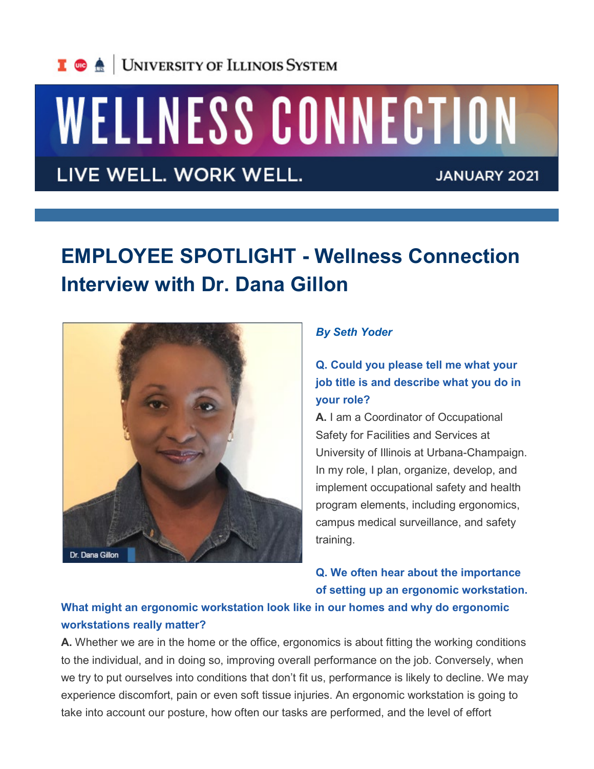

# WELLNESS CONNECTION

LIVE WELL. WORK WELL.

**JANUARY 2021** 

## **EMPLOYEE SPOTLIGHT - Wellness Connection Interview with Dr. Dana Gillon**



#### *By Seth Yoder*

**Q. Could you please tell me what your job title is and describe what you do in your role?**

**A.** I am a Coordinator of Occupational Safety for Facilities and Services at University of Illinois at Urbana-Champaign. In my role, I plan, organize, develop, and implement occupational safety and health program elements, including ergonomics, campus medical surveillance, and safety training.

**Q. We often hear about the importance of setting up an ergonomic workstation.** 

#### **What might an ergonomic workstation look like in our homes and why do ergonomic workstations really matter?**

**A.** Whether we are in the home or the office, ergonomics is about fitting the working conditions to the individual, and in doing so, improving overall performance on the job. Conversely, when we try to put ourselves into conditions that don't fit us, performance is likely to decline. We may experience discomfort, pain or even soft tissue injuries. An ergonomic workstation is going to take into account our posture, how often our tasks are performed, and the level of effort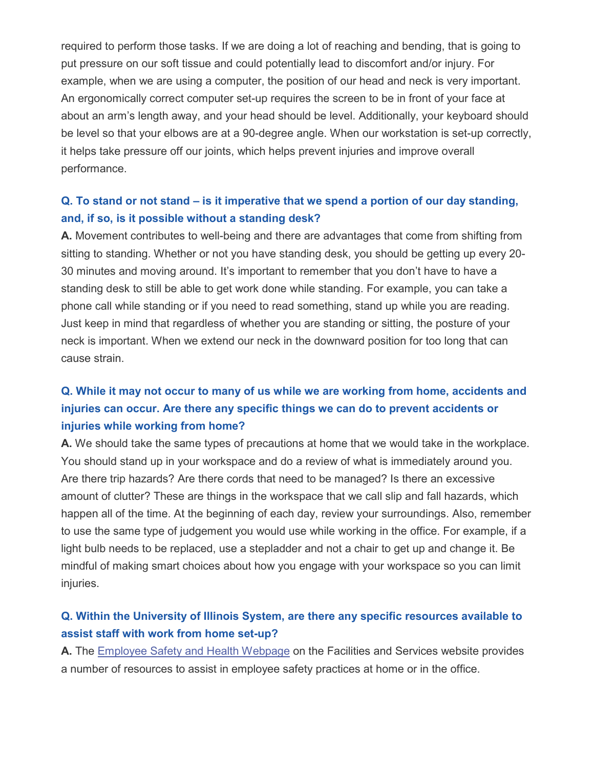required to perform those tasks. If we are doing a lot of reaching and bending, that is going to put pressure on our soft tissue and could potentially lead to discomfort and/or injury. For example, when we are using a computer, the position of our head and neck is very important. An ergonomically correct computer set-up requires the screen to be in front of your face at about an arm's length away, and your head should be level. Additionally, your keyboard should be level so that your elbows are at a 90-degree angle. When our workstation is set-up correctly, it helps take pressure off our joints, which helps prevent injuries and improve overall performance.

#### **Q. To stand or not stand – is it imperative that we spend a portion of our day standing, and, if so, is it possible without a standing desk?**

**A.** Movement contributes to well-being and there are advantages that come from shifting from sitting to standing. Whether or not you have standing desk, you should be getting up every 20- 30 minutes and moving around. It's important to remember that you don't have to have a standing desk to still be able to get work done while standing. For example, you can take a phone call while standing or if you need to read something, stand up while you are reading. Just keep in mind that regardless of whether you are standing or sitting, the posture of your neck is important. When we extend our neck in the downward position for too long that can cause strain.

### **Q. While it may not occur to many of us while we are working from home, accidents and injuries can occur. Are there any specific things we can do to prevent accidents or injuries while working from home?**

**A.** We should take the same types of precautions at home that we would take in the workplace. You should stand up in your workspace and do a review of what is immediately around you. Are there trip hazards? Are there cords that need to be managed? Is there an excessive amount of clutter? These are things in the workspace that we call slip and fall hazards, which happen all of the time. At the beginning of each day, review your surroundings. Also, remember to use the same type of judgement you would use while working in the office. For example, if a light bulb needs to be replaced, use a stepladder and not a chair to get up and change it. Be mindful of making smart choices about how you engage with your workspace so you can limit injuries.

#### **Q. Within the University of Illinois System, are there any specific resources available to assist staff with work from home set-up?**

**A.** The [Employee Safety and Health Webpage](http://links.illinois.edu/f/a/iVYFjzgoRX-NtLwGChhZwg%7E%7E/AAMFlAA%7E/RgRh4chKP0RYaHR0cHM6Ly9mcy5pbGxpbm9pcy5lZHUvc2VydmljZXMvc2FmZXR5LWFuZC1jb21wbGlhbmNlL2VtcGxveWVlLXNhZmV0eS1oZWFsdGgvZXJnb25vbWljc1cDc3BjQgpf_EpD_1_SkvGOUhNjbWMyMTFAaWxsaW5vaXMuZWR1WAQAAAAE) on the Facilities and Services website provides a number of resources to assist in employee safety practices at home or in the office.